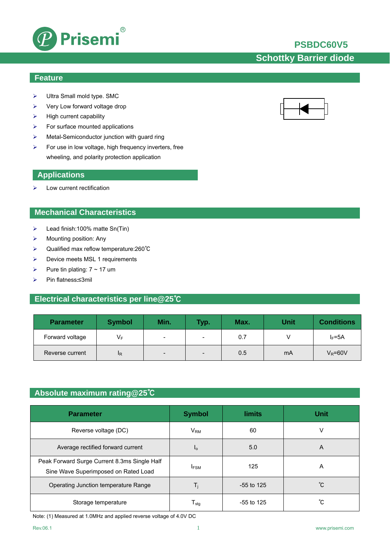

## **PSBDC60V5**

# **Schottky Barrier diode**

### **Feature**

- ¾ Ultra Small mold type. SMC
- $\triangleright$  Very Low forward voltage drop
- $\blacktriangleright$  High current capability
- $\triangleright$  For surface mounted applications
- ¾ Metal-Semiconductor junction with guard ring
- $\triangleright$  For use in low voltage, high frequency inverters, free wheeling, and polarity protection application

#### **Applications**

 $\blacktriangleright$  Low current rectification

### **Mechanical Characteristics**

- $\blacktriangleright$  Lead finish:100% matte Sn(Tin)
- $\triangleright$  Mounting position: Any
- ¾ Qualified max reflow temperature:260℃
- ¾ Device meets MSL 1 requirements
- $\triangleright$  Pure tin plating:  $7 \sim 17$  um
- ¾ Pin flatness:≤3mil

### **Electrical characteristics per line@25**℃

| <b>Parameter</b> | <b>Symbol</b>  | Min.                     | <b>Typ</b>               | Max. | <b>Unit</b> | <b>Conditions</b> |
|------------------|----------------|--------------------------|--------------------------|------|-------------|-------------------|
| Forward voltage  | V⊧             | $\overline{\phantom{0}}$ | $\overline{\phantom{0}}$ | 0.7  |             | $I_F = 5A$        |
| Reverse current  | <sup>I</sup> R | $\overline{\phantom{0}}$ | $\overline{\phantom{0}}$ | 0.5  | mA          | $V_R = 60V$       |

### **Absolute maximum rating@25**℃

| <b>Parameter</b>                                                                     | <b>Symbol</b>               | <b>limits</b> | <b>Unit</b> |
|--------------------------------------------------------------------------------------|-----------------------------|---------------|-------------|
| Reverse voltage (DC)                                                                 | $V_{\mathsf{RM}}$           | 60            | V           |
| Average rectified forward current                                                    | I <sub>O</sub>              | 5.0           | A           |
| Peak Forward Surge Current 8.3ms Single Half<br>Sine Wave Superimposed on Rated Load | <b>IFSM</b>                 | 125           | A           |
| Operating Junction temperature Range                                                 | T,                          | $-55$ to 125  | °С          |
| Storage temperature                                                                  | $\mathsf{T}_{\mathsf{stq}}$ | $-55$ to 125  | °С          |

Note: (1) Measured at 1.0MHz and applied reverse voltage of 4.0V DC

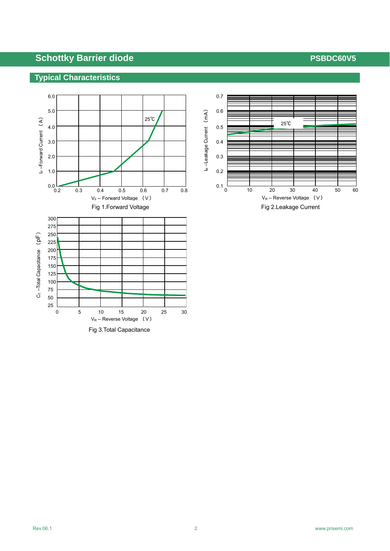## **Typical Characteristics**



Fig 3.Total Capacitance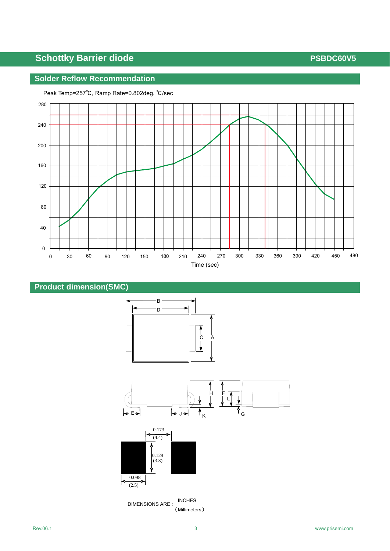## **Solder Reflow Recommendation**













 DIMENSIONS ARE : INCHES (Millimeters)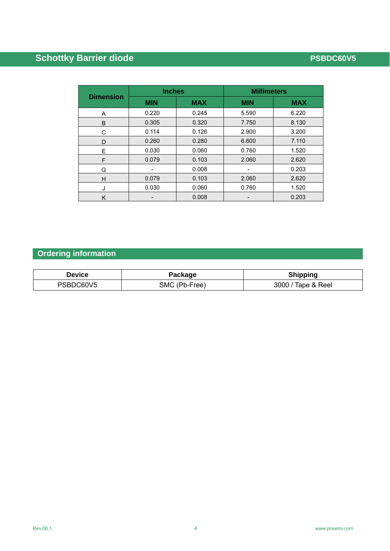| <b>Dimension</b> | <b>Inches</b> |            | <b>Millimeters</b> |            |  |
|------------------|---------------|------------|--------------------|------------|--|
|                  | <b>MIN</b>    | <b>MAX</b> | <b>MIN</b>         | <b>MAX</b> |  |
| A                | 0.220         | 0.245      | 5.590              | 6.220      |  |
| B                | 0.305         | 0.320      | 7.750              | 8.130      |  |
| С                | 0.114         | 0.126      | 2.900              | 3.200      |  |
| D                | 0.260         | 0.280      | 6.600              | 7.110      |  |
| E                | 0.030         | 0.060      | 0.760              | 1.520      |  |
| F                | 0.079         | 0.103      | 2.060              | 2.620      |  |
| G                | -             | 0.008      | -                  | 0.203      |  |
| н                | 0.079         | 0.103      | 2.060              | 2.620      |  |
| J                | 0.030         | 0.060      | 0.760              | 1.520      |  |
| Κ                |               | 0.008      |                    | 0.203      |  |

# **Ordering information**

| Device    | Package       | <b>Shipping</b>    |
|-----------|---------------|--------------------|
| PSBDC60V5 | SMC (Pb-Free) | 3000 / Tape & Reel |